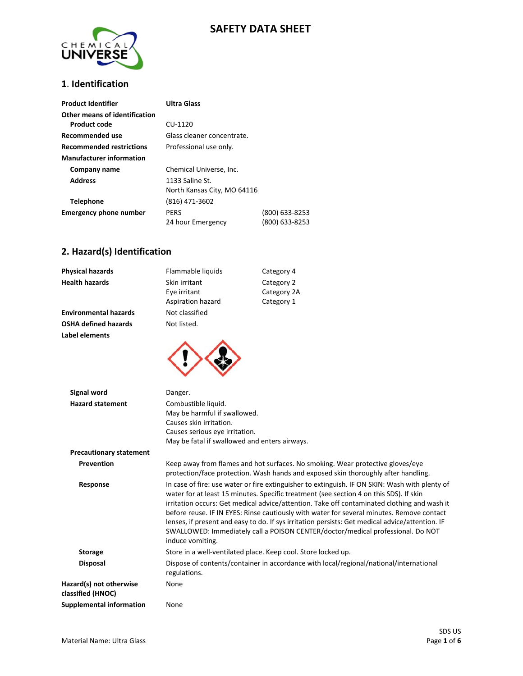### **SAFETY DATA SHEET**



### **1**. **Identification**

| <b>Product Identifier</b>       | <b>Ultra Glass</b>          |                |
|---------------------------------|-----------------------------|----------------|
| Other means of identification   |                             |                |
| Product code                    | CU-1120                     |                |
| Recommended use                 | Glass cleaner concentrate.  |                |
| <b>Recommended restrictions</b> | Professional use only.      |                |
| <b>Manufacturer information</b> |                             |                |
| Company name                    | Chemical Universe, Inc.     |                |
| <b>Address</b>                  | 1133 Saline St.             |                |
|                                 | North Kansas City, MO 64116 |                |
| <b>Telephone</b>                | (816) 471-3602              |                |
| <b>Emergency phone number</b>   | <b>PERS</b>                 | (800) 633-8253 |
|                                 | 24 hour Emergency           | (800) 633-8253 |

# **2. Hazard(s) Identification**

| <b>Physical hazards</b>      | Flammable liquids                                  | Category 4                              |
|------------------------------|----------------------------------------------------|-----------------------------------------|
| <b>Health hazards</b>        | Skin irritant<br>Eye irritant<br>Aspiration hazard | Category 2<br>Category 2A<br>Category 1 |
| <b>Environmental hazards</b> | Not classified                                     |                                         |
| <b>OSHA defined hazards</b>  | Not listed.                                        |                                         |
| Label elements               |                                                    |                                         |



| Signal word                                  | Danger.                                                                                                                                                                                                                                                                                                                                                                                                                                                                                                                                                                                        |
|----------------------------------------------|------------------------------------------------------------------------------------------------------------------------------------------------------------------------------------------------------------------------------------------------------------------------------------------------------------------------------------------------------------------------------------------------------------------------------------------------------------------------------------------------------------------------------------------------------------------------------------------------|
| <b>Hazard statement</b>                      | Combustible liquid.                                                                                                                                                                                                                                                                                                                                                                                                                                                                                                                                                                            |
|                                              | May be harmful if swallowed.                                                                                                                                                                                                                                                                                                                                                                                                                                                                                                                                                                   |
|                                              | Causes skin irritation.                                                                                                                                                                                                                                                                                                                                                                                                                                                                                                                                                                        |
|                                              | Causes serious eye irritation.                                                                                                                                                                                                                                                                                                                                                                                                                                                                                                                                                                 |
|                                              | May be fatal if swallowed and enters airways.                                                                                                                                                                                                                                                                                                                                                                                                                                                                                                                                                  |
| <b>Precautionary statement</b>               |                                                                                                                                                                                                                                                                                                                                                                                                                                                                                                                                                                                                |
| Prevention                                   | Keep away from flames and hot surfaces. No smoking. Wear protective gloves/eye<br>protection/face protection. Wash hands and exposed skin thoroughly after handling.                                                                                                                                                                                                                                                                                                                                                                                                                           |
| Response                                     | In case of fire: use water or fire extinguisher to extinguish. IF ON SKIN: Wash with plenty of<br>water for at least 15 minutes. Specific treatment (see section 4 on this SDS). If skin<br>irritation occurs: Get medical advice/attention. Take off contaminated clothing and wash it<br>before reuse. IF IN EYES: Rinse cautiously with water for several minutes. Remove contact<br>lenses, if present and easy to do. If sys irritation persists: Get medical advice/attention. IF<br>SWALLOWED: Immediately call a POISON CENTER/doctor/medical professional. Do NOT<br>induce vomiting. |
| <b>Storage</b>                               | Store in a well-ventilated place. Keep cool. Store locked up.                                                                                                                                                                                                                                                                                                                                                                                                                                                                                                                                  |
| <b>Disposal</b>                              | Dispose of contents/container in accordance with local/regional/national/international<br>regulations.                                                                                                                                                                                                                                                                                                                                                                                                                                                                                         |
| Hazard(s) not otherwise<br>classified (HNOC) | None                                                                                                                                                                                                                                                                                                                                                                                                                                                                                                                                                                                           |
| <b>Supplemental information</b>              | None                                                                                                                                                                                                                                                                                                                                                                                                                                                                                                                                                                                           |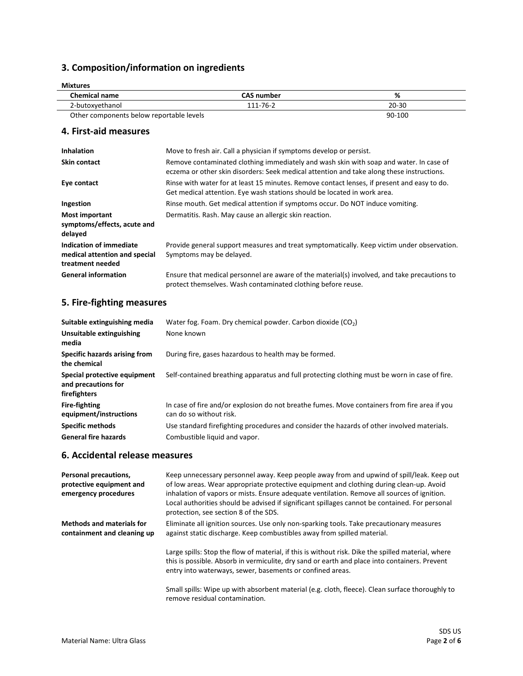# **3. Composition/information on ingredients**

| Mixtures                                 |                   |           |
|------------------------------------------|-------------------|-----------|
| <b>Chemical name</b>                     | <b>CAS number</b> | %         |
| 2-butoxyethanol                          | 111-76-2          | $20 - 30$ |
| Other components below reportable levels |                   | 90-100    |

#### **4. First-aid measures**

| <b>Inhalation</b>                                                            | Move to fresh air. Call a physician if symptoms develop or persist.                                                                                                                 |
|------------------------------------------------------------------------------|-------------------------------------------------------------------------------------------------------------------------------------------------------------------------------------|
| <b>Skin contact</b>                                                          | Remove contaminated clothing immediately and wash skin with soap and water. In case of<br>eczema or other skin disorders: Seek medical attention and take along these instructions. |
| Eye contact                                                                  | Rinse with water for at least 15 minutes. Remove contact lenses, if present and easy to do.<br>Get medical attention. Eye wash stations should be located in work area.             |
| Ingestion                                                                    | Rinse mouth. Get medical attention if symptoms occur. Do NOT induce vomiting.                                                                                                       |
| Most important<br>symptoms/effects, acute and<br>delayed                     | Dermatitis. Rash. May cause an allergic skin reaction.                                                                                                                              |
| Indication of immediate<br>medical attention and special<br>treatment needed | Provide general support measures and treat symptomatically. Keep victim under observation.<br>Symptoms may be delayed.                                                              |
| <b>General information</b>                                                   | Ensure that medical personnel are aware of the material(s) involved, and take precautions to<br>protect themselves. Wash contaminated clothing before reuse.                        |

# **5. Fire-fighting measures**

| Suitable extinguishing media<br>Unsuitable extinguishing<br>media   | Water fog. Foam. Dry chemical powder. Carbon dioxide $(CO2)$<br>None known                                                  |
|---------------------------------------------------------------------|-----------------------------------------------------------------------------------------------------------------------------|
| Specific hazards arising from<br>the chemical                       | During fire, gases hazardous to health may be formed.                                                                       |
| Special protective equipment<br>and precautions for<br>firefighters | Self-contained breathing apparatus and full protecting clothing must be worn in case of fire.                               |
| <b>Fire-fighting</b><br>equipment/instructions                      | In case of fire and/or explosion do not breathe fumes. Move containers from fire area if you<br>can do so without risk.     |
| <b>Specific methods</b><br><b>General fire hazards</b>              | Use standard firefighting procedures and consider the hazards of other involved materials.<br>Combustible liquid and vapor. |

#### **6. Accidental release measures**

| Personal precautions,<br>protective equipment and<br>emergency procedures | Keep unnecessary personnel away. Keep people away from and upwind of spill/leak. Keep out<br>of low areas. Wear appropriate protective equipment and clothing during clean-up. Avoid<br>inhalation of vapors or mists. Ensure adequate ventilation. Remove all sources of ignition.<br>Local authorities should be advised if significant spillages cannot be contained. For personal<br>protection, see section 8 of the SDS. |
|---------------------------------------------------------------------------|--------------------------------------------------------------------------------------------------------------------------------------------------------------------------------------------------------------------------------------------------------------------------------------------------------------------------------------------------------------------------------------------------------------------------------|
| <b>Methods and materials for</b><br>containment and cleaning up           | Eliminate all ignition sources. Use only non-sparking tools. Take precautionary measures<br>against static discharge. Keep combustibles away from spilled material.                                                                                                                                                                                                                                                            |
|                                                                           | Large spills: Stop the flow of material, if this is without risk. Dike the spilled material, where<br>this is possible. Absorb in vermiculite, dry sand or earth and place into containers. Prevent<br>entry into waterways, sewer, basements or confined areas.                                                                                                                                                               |
|                                                                           | Small spills: Wipe up with absorbent material (e.g. cloth, fleece). Clean surface thoroughly to<br>remove residual contamination.                                                                                                                                                                                                                                                                                              |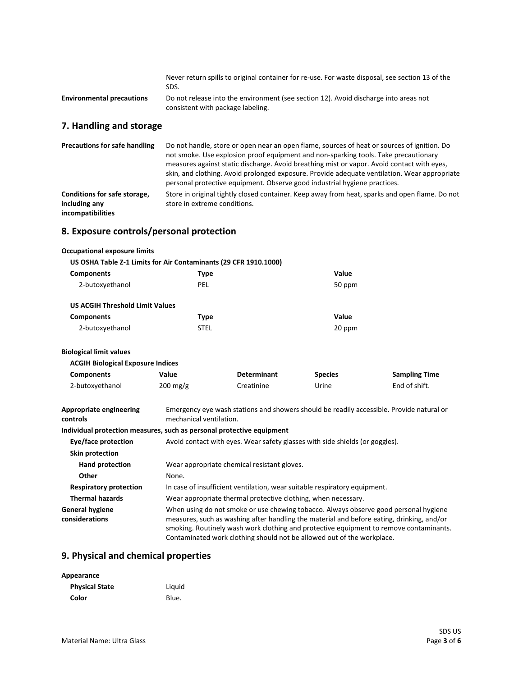|                                  | Never return spills to original container for re-use. For waste disposal, see section 13 of the<br>SDS.                   |
|----------------------------------|---------------------------------------------------------------------------------------------------------------------------|
| <b>Environmental precautions</b> | Do not release into the environment (see section 12). Avoid discharge into areas not<br>consistent with package labeling. |
| 7. Handling and storage          |                                                                                                                           |
| Precautions for safe handling    | Do not handle, store or open near an open flame, sources of heat or sources of ignition. Do                               |

|                                               | not smoke. Use explosion proof equipment and non-sparking tools. Take precautionary<br>measures against static discharge. Avoid breathing mist or vapor. Avoid contact with eyes,<br>skin, and clothing. Avoid prolonged exposure. Provide adequate ventilation. Wear appropriate<br>personal protective equipment. Observe good industrial hygiene practices. |
|-----------------------------------------------|----------------------------------------------------------------------------------------------------------------------------------------------------------------------------------------------------------------------------------------------------------------------------------------------------------------------------------------------------------------|
| Conditions for safe storage,<br>including any | Store in original tightly closed container. Keep away from heat, sparks and open flame. Do not<br>store in extreme conditions.                                                                                                                                                                                                                                 |
| incompatibilities                             |                                                                                                                                                                                                                                                                                                                                                                |

### **8. Exposure controls/personal protection**

# **Occupational exposure limits**

|                                        | US OSHA Table Z-1 Limits for Air Contaminants (29 CFR 1910.1000) |        |
|----------------------------------------|------------------------------------------------------------------|--------|
| <b>Components</b>                      | Type                                                             | Value  |
| 2-butoxyethanol                        | PEL                                                              | 50 ppm |
| <b>US ACGIH Threshold Limit Values</b> |                                                                  |        |
| <b>Components</b>                      | Type                                                             | Value  |
| 2-butoxyethanol                        | STEL                                                             | 20 ppm |

#### **Biological limit values**

| <b>ACGIH Biological Exposure Indices</b> |                    |                    |                |                      |
|------------------------------------------|--------------------|--------------------|----------------|----------------------|
| <b>Components</b>                        | Value              | <b>Determinant</b> | <b>Species</b> | <b>Sampling Time</b> |
| 2-butoxyethanol                          | $200 \text{ mg/g}$ | Creatinine         | Urine          | End of shift.        |

| Appropriate engineering | Emergency eye wash stations and showers should be readily accessible. Provide natural or |
|-------------------------|------------------------------------------------------------------------------------------|
| controls                | mechanical ventilation.                                                                  |
|                         | Individual protection measures, such as personal protective equipment                    |
| Eye/face protection     | Avoid contact with eyes. Wear safety glasses with side shields (or goggles).             |
| Skin protection         |                                                                                          |

| SKIN protection                          |                                                                                                                                                                                                                                                                                                                                                       |
|------------------------------------------|-------------------------------------------------------------------------------------------------------------------------------------------------------------------------------------------------------------------------------------------------------------------------------------------------------------------------------------------------------|
| <b>Hand protection</b>                   | Wear appropriate chemical resistant gloves.                                                                                                                                                                                                                                                                                                           |
| Other                                    | None.                                                                                                                                                                                                                                                                                                                                                 |
| <b>Respiratory protection</b>            | In case of insufficient ventilation, wear suitable respiratory equipment.                                                                                                                                                                                                                                                                             |
| <b>Thermal hazards</b>                   | Wear appropriate thermal protective clothing, when necessary.                                                                                                                                                                                                                                                                                         |
| <b>General hygiene</b><br>considerations | When using do not smoke or use chewing tobacco. Always observe good personal hygiene<br>measures, such as washing after handling the material and before eating, drinking, and/or<br>smoking. Routinely wash work clothing and protective equipment to remove contaminants.<br>Contaminated work clothing should not be allowed out of the workplace. |

# **9. Physical and chemical properties**

| Appearance            |        |
|-----------------------|--------|
| <b>Physical State</b> | Liguid |
| Color                 | Blue.  |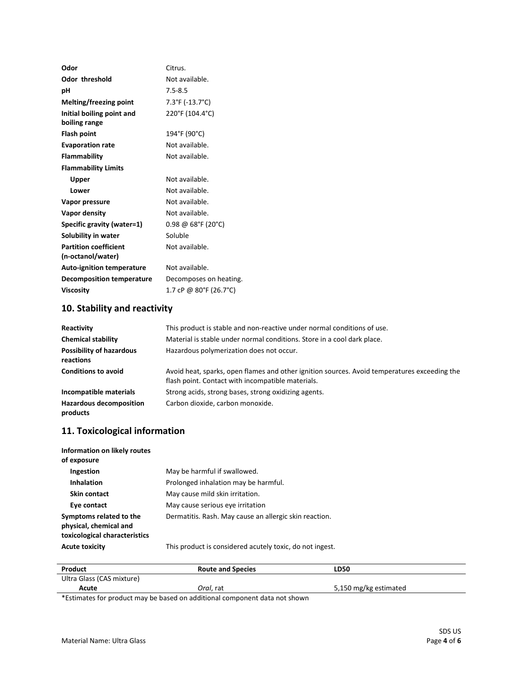| Odor                             | Citrus.                 |
|----------------------------------|-------------------------|
| <b>Odor threshold</b>            | Not available.          |
| рH                               | $7.5 - 8.5$             |
| Melting/freezing point           | 7.3°F (-13.7°C)         |
| Initial boiling point and        | 220°F (104.4°C)         |
| boiling range                    |                         |
| <b>Flash point</b>               | 194°F (90°C)            |
| <b>Evaporation rate</b>          | Not available.          |
| <b>Flammability</b>              | Not available.          |
| <b>Flammability Limits</b>       |                         |
| <b>Upper</b>                     | Not available.          |
| Lower                            | Not available.          |
| Vapor pressure                   | Not available.          |
| Vapor density                    | Not available.          |
| Specific gravity (water=1)       | $0.98 \ @ 68$ °F (20°C) |
| Solubility in water              | Soluble                 |
| <b>Partition coefficient</b>     | Not available.          |
| (n-octanol/water)                |                         |
| <b>Auto-ignition temperature</b> | Not available.          |
| <b>Decomposition temperature</b> | Decomposes on heating.  |
| <b>Viscosity</b>                 | 1.7 cP @ 80°F (26.7°C)  |
|                                  |                         |

# **10. Stability and reactivity**

| Reactivity                                   | This product is stable and non-reactive under normal conditions of use.                                                                           |
|----------------------------------------------|---------------------------------------------------------------------------------------------------------------------------------------------------|
| <b>Chemical stability</b>                    | Material is stable under normal conditions. Store in a cool dark place.                                                                           |
| <b>Possibility of hazardous</b><br>reactions | Hazardous polymerization does not occur.                                                                                                          |
| <b>Conditions to avoid</b>                   | Avoid heat, sparks, open flames and other ignition sources. Avoid temperatures exceeding the<br>flash point. Contact with incompatible materials. |
| Incompatible materials                       | Strong acids, strong bases, strong oxidizing agents.                                                                                              |
| <b>Hazardous decomposition</b><br>products   | Carbon dioxide, carbon monoxide.                                                                                                                  |

### **11. Toxicological information**

| Information on likely routes<br>of exposure                                        |                                                          |
|------------------------------------------------------------------------------------|----------------------------------------------------------|
| Ingestion                                                                          | May be harmful if swallowed.                             |
| <b>Inhalation</b>                                                                  | Prolonged inhalation may be harmful.                     |
| <b>Skin contact</b>                                                                | May cause mild skin irritation.                          |
| Eye contact                                                                        | May cause serious eye irritation                         |
| Symptoms related to the<br>physical, chemical and<br>toxicological characteristics | Dermatitis. Rash. May cause an allergic skin reaction.   |
| <b>Acute toxicity</b>                                                              | This product is considered acutely toxic, do not ingest. |

| Product                   | <b>Route and Species</b> | <b>LD50</b>           |
|---------------------------|--------------------------|-----------------------|
| Ultra Glass (CAS mixture) |                          |                       |
| Acute                     | Oral. rat                | 5,150 mg/kg estimated |

\*Estimates for product may be based on additional component data not shown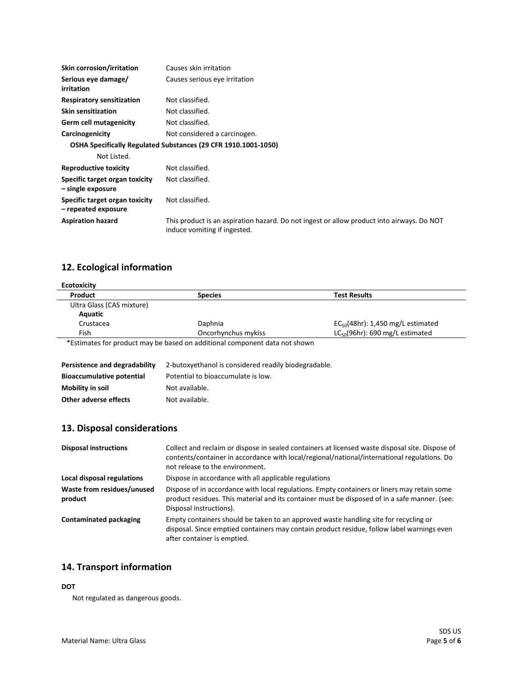| <b>Skin corrosion/irritation</b>                      | Causes skin irritation                                                                                                    |
|-------------------------------------------------------|---------------------------------------------------------------------------------------------------------------------------|
| Serious eye damage/<br>irritation                     | Causes serious eye irritation                                                                                             |
| <b>Respiratory sensitization</b>                      | Not classified.                                                                                                           |
| <b>Skin sensitization</b>                             | Not classified.                                                                                                           |
| <b>Germ cell mutagenicity</b>                         | Not classified.                                                                                                           |
| Carcinogenicity                                       | Not considered a carcinogen.                                                                                              |
|                                                       | OSHA Specifically Regulated Substances (29 CFR 1910.1001-1050)                                                            |
| Not Listed.                                           |                                                                                                                           |
| <b>Reproductive toxicity</b>                          | Not classified.                                                                                                           |
| Specific target organ toxicity<br>- single exposure   | Not classified.                                                                                                           |
| Specific target organ toxicity<br>- repeated exposure | Not classified.                                                                                                           |
| <b>Aspiration hazard</b>                              | This product is an aspiration hazard. Do not ingest or allow product into airways. Do NOT<br>induce vomiting if ingested. |

### **12. Ecological information**

| Product                   | <b>Species</b>      | <b>Test Results</b>                    |
|---------------------------|---------------------|----------------------------------------|
| Ultra Glass (CAS mixture) |                     |                                        |
| Aquatic                   |                     |                                        |
| Crustacea                 | Daphnia             | $EC_{50}(48hr)$ : 1,450 mg/L estimated |
| Fish                      | Oncorhynchus mykiss | $LC_{50}(96hr)$ : 690 mg/L estimated   |

\*Estimates for product may be based on additional component data not shown

| Persistence and degradability    | 2-butoxyethanol is considered readily biodegradable. |
|----------------------------------|------------------------------------------------------|
| <b>Bioaccumulative potential</b> | Potential to bioaccumulate is low.                   |
| Mobility in soil                 | Not available.                                       |
| Other adverse effects            | Not available.                                       |

### **13. Disposal considerations**

| <b>Disposal instructions</b>          | Collect and reclaim or dispose in sealed containers at licensed waste disposal site. Dispose of<br>contents/container in accordance with local/regional/national/international regulations. Do<br>not release to the environment. |
|---------------------------------------|-----------------------------------------------------------------------------------------------------------------------------------------------------------------------------------------------------------------------------------|
| Local disposal regulations            | Dispose in accordance with all applicable regulations                                                                                                                                                                             |
| Waste from residues/unused<br>product | Dispose of in accordance with local regulations. Empty containers or liners may retain some<br>product residues. This material and its container must be disposed of in a safe manner. (see:<br>Disposal instructions).           |
| Contaminated packaging                | Empty containers should be taken to an approved waste handling site for recycling or<br>disposal. Since emptied containers may contain product residue, follow label warnings even<br>after container is emptied.                 |

### **14. Transport information**

#### **DOT**

Not regulated as dangerous goods.